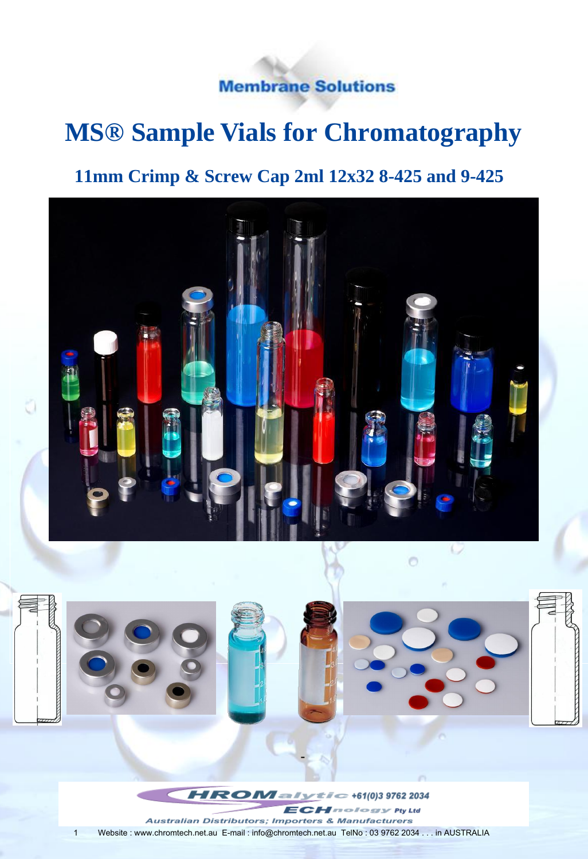**Membrane Solutions** 

# **MS® Sample Vials for Chromatography**

### **11mm Crimp & Screw Cap 2ml 12x32 8-425 and 9-425**



1 Website : www.chromtech.net.au E-mail : info@chromtech.net.au TelNo : 03 9762 2034 . . . in AUSTRALIA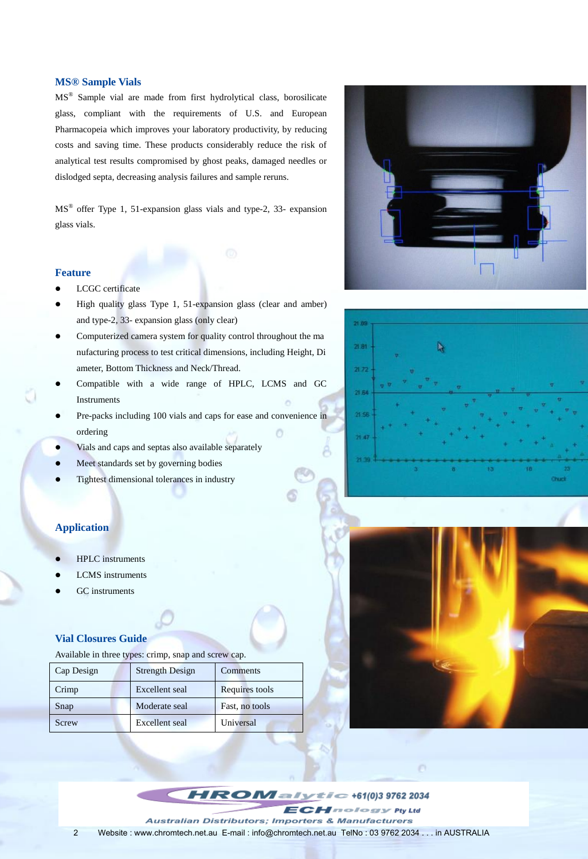#### **MS® Sample Vials**

MS® Sample vial are made from first hydrolytical class, borosilicate glass, compliant with the requirements of U.S. and European Pharmacopeia which improves your laboratory productivity, by reducing costs and saving time. These products considerably reduce the risk of analytical test results compromised by ghost peaks, damaged needles or dislodged septa, decreasing analysis failures and sample reruns.

MS® offer Type 1, 51-expansion glass vials and type-2, 33- expansion glass vials.

#### **Feature**

- **•** LCGC certificate
- High quality glass Type 1, 51-expansion glass (clear and amber) and type-2, 33- expansion glass (only clear)
- Computerized camera system for quality control throughout the ma nufacturing process to test critical dimensions, including Height, Di ameter, Bottom Thickness and Neck/Thread.
- Compatible with a wide range of HPLC, LCMS and GC Instruments
- Pre-packs including 100 vials and caps for ease and convenience in ordering
- Vials and caps and septas also available separately
- Meet standards set by governing bodies
- Tightest dimensional tolerances in industry

### **Application**

- HPLC instruments
- LCMS instruments
- GC instruments

#### **Vial Closures Guide**

Available in three types: crimp, snap and screw cap.

| Cap Design | <b>Strength Design</b> | Comments       |
|------------|------------------------|----------------|
| Crimp      | Excellent seal         | Requires tools |
| Snap       | Moderate seal          | Fast, no tools |
| Screw      | <b>Excellent</b> seal  | Universal      |







HROMan  $\tau \tau = 61(0)397622034$ nology Pty Ltd Australian Distributors; Importers & Manufacturers 2 Website : www.chromtech.net.au E-mail : info@chromtech.net.au TelNo : 03 9762 2034 . . . in AUSTRALIA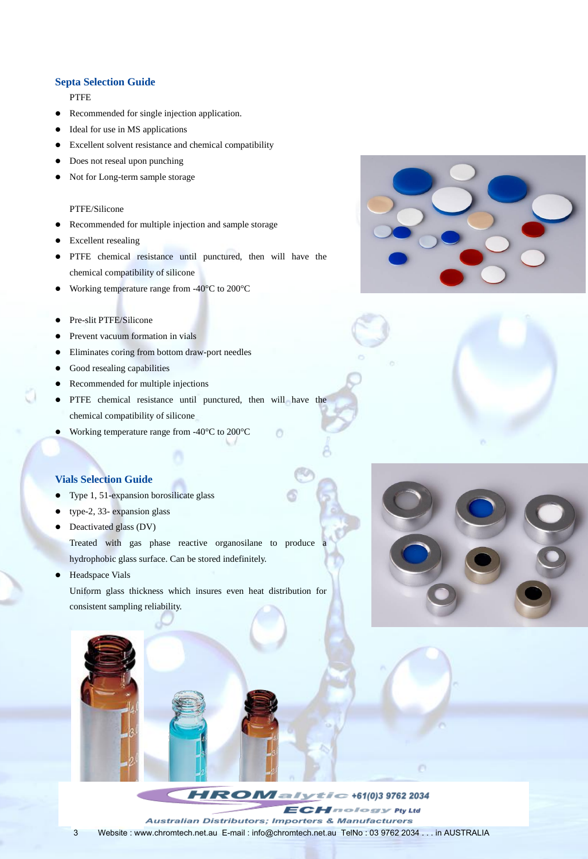#### **Septa Selection Guide**

PTFE

- Recommended for single injection application.
- Ideal for use in MS applications
- Excellent solvent resistance and chemical compatibility
- Does not reseal upon punching
- Not for Long-term sample storage

#### PTFE/Silicone

- Recommended for multiple injection and sample storage
- Excellent resealing
- PTFE chemical resistance until punctured, then will have the chemical compatibility of silicone
- Working temperature range from -40  $\degree$  to 200  $\degree$
- Pre-slit PTFE/Silicone
- Prevent vacuum formation in vials
- Eliminates coring from bottom draw-port needles
- Good resealing capabilities
- Recommended for multiple injections
- PTFE chemical resistance until punctured, then will have the chemical compatibility of silicone
- Working temperature range from -40  $\degree$  to 200  $\degree$

### **Vials Selection Guide**

- Type 1, 51-expansion borosilicate glass
- type-2, 33- expansion glass
- Deactivated glass (DV)

Treated with gas phase reactive organosilane to produce a hydrophobic glass surface. Can be stored indefinitely.

 Headspace Vials Uniform glass thickness which insures even heat distribution for consistent sampling reliability.







 $\circ$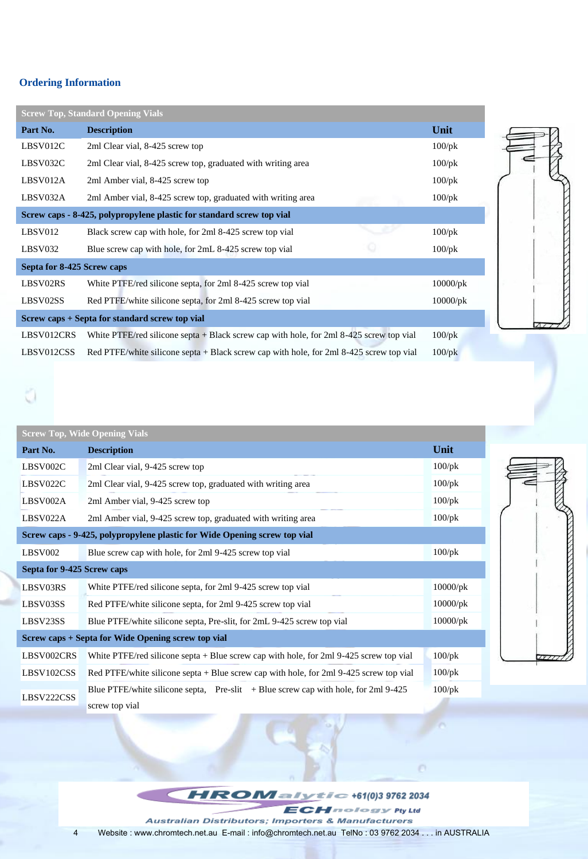### **Ordering Information**

|                            | <b>Screw Top, Standard Opening Vials</b>                                                  |             |
|----------------------------|-------------------------------------------------------------------------------------------|-------------|
| Part No.                   | <b>Description</b>                                                                        | Unit        |
| LBSV012C                   | 2ml Clear vial, 8-425 screw top                                                           |             |
| LBSV032C                   | 2ml Clear vial, 8-425 screw top, graduated with writing area                              |             |
| LBSV012A                   | 2ml Amber vial, 8-425 screw top                                                           |             |
| LBSV032A                   | 2ml Amber vial, 8-425 screw top, graduated with writing area                              | $100$ /pk   |
|                            | Screw caps - 8-425, polypropylene plastic for standard screw top vial                     |             |
| LBSV012                    | Black screw cap with hole, for 2ml 8-425 screw top vial                                   | $100$ /pk   |
| LBSV032                    | Blue screw cap with hole, for 2mL 8-425 screw top vial                                    | $100$ /pk   |
| Septa for 8-425 Screw caps |                                                                                           |             |
| LBSV02RS                   | White PTFE/red silicone septa, for 2ml 8-425 screw top vial                               | $10000$ /pk |
| LBSV02SS                   | Red PTFE/white silicone septa, for 2ml 8-425 screw top vial                               | $10000$ /pk |
|                            | Screw caps + Septa for standard screw top vial                                            |             |
| LBSV012CRS                 | White PTFE/red silicone septa $+$ Black screw cap with hole, for 2ml 8-425 screw top vial | $100$ /pk   |
| LBSV012CSS                 | Red PTFE/white silicone septa + Black screw cap with hole, for 2ml 8-425 screw top vial   | $100$ /pk   |

| <b>Screw Top, Wide Opening Vials</b>                                      |                                                                                          |             |  |
|---------------------------------------------------------------------------|------------------------------------------------------------------------------------------|-------------|--|
| Part No.                                                                  | <b>Description</b>                                                                       | Unit        |  |
| LBSV002C                                                                  | 2ml Clear vial, 9-425 screw top                                                          | $100$ /pk   |  |
| LBSV022C                                                                  | 2ml Clear vial, 9-425 screw top, graduated with writing area                             | $100$ /pk   |  |
| LBSV002A                                                                  | 2ml Amber vial, 9-425 screw top                                                          | $100$ /pk   |  |
| LBSV022A                                                                  | 2ml Amber vial, 9-425 screw top, graduated with writing area                             | $100$ /pk   |  |
| Screw caps - 9-425, polypropylene plastic for Wide Opening screw top vial |                                                                                          |             |  |
| LBSV002                                                                   | Blue screw cap with hole, for 2ml 9-425 screw top vial                                   | $100$ /pk   |  |
| Septa for 9-425 Screw caps                                                |                                                                                          |             |  |
| LBSV03RS                                                                  | White PTFE/red silicone septa, for 2ml 9-425 screw top vial                              | $10000$ /pk |  |
| LBSV03SS                                                                  | Red PTFE/white silicone septa, for 2ml 9-425 screw top vial                              | $10000$ /pk |  |
| LBSV23SS                                                                  | Blue PTFE/white silicone septa, Pre-slit, for 2mL 9-425 screw top vial                   | $10000$ /pk |  |
| Screw caps + Septa for Wide Opening screw top vial                        |                                                                                          |             |  |
| LBSV002CRS                                                                | White PTFE/red silicone septa $+$ Blue screw cap with hole, for 2ml 9-425 screw top vial | $100$ /pk   |  |
| LBSV102CSS                                                                | Red PTFE/white silicone septa + Blue screw cap with hole, for 2ml 9-425 screw top vial   | $100$ /pk   |  |
| LBSV222CSS                                                                | Blue PTFE/white silicone septa, $Pre-slit + Blue$ screw cap with hole, for 2ml 9-425     | $100$ /pk   |  |
|                                                                           | screw top vial                                                                           |             |  |



 $H$ **ROM** alytic +61(0)3 9762 2034 **ECHnology Pty Ltd** Australian Distributors; Importers & Manufacturers 4 Website : www.chromtech.net.au E-mail : info@chromtech.net.au TelNo : 03 9762 2034 . . . in AUSTRALIA

O.

 $\mathcal{L}$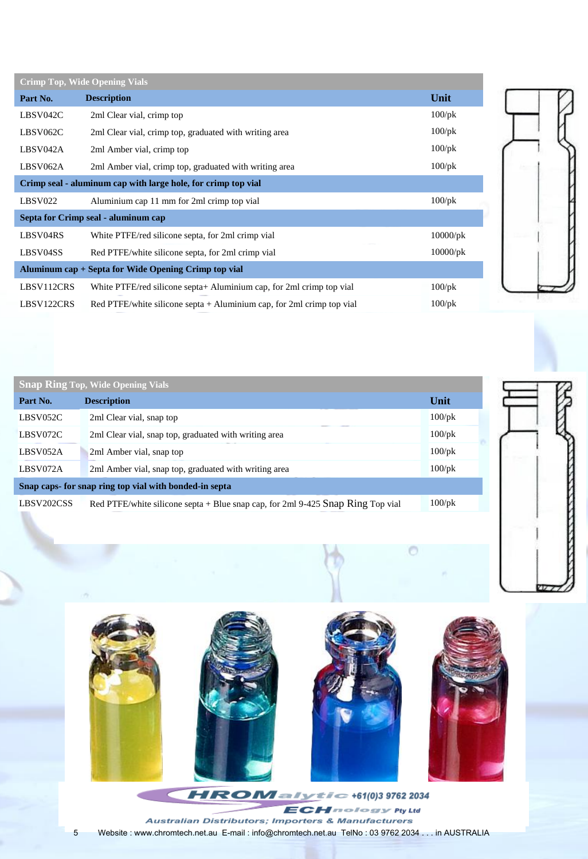| <b>Crimp Top, Wide Opening Vials</b>                          |                                                                       |             |  |  |
|---------------------------------------------------------------|-----------------------------------------------------------------------|-------------|--|--|
| Part No.                                                      | <b>Description</b>                                                    | Unit        |  |  |
| LBSV042C                                                      | 2ml Clear vial, crimp top                                             | $100$ /pk   |  |  |
| LBSV062C                                                      | 2ml Clear vial, crimp top, graduated with writing area                | $100$ /pk   |  |  |
| LBSV042A                                                      | 2ml Amber vial, crimp top                                             | $100$ /pk   |  |  |
| LBSV062A                                                      | 2ml Amber vial, crimp top, graduated with writing area                | $100$ /pk   |  |  |
| Crimp seal - aluminum cap with large hole, for crimp top vial |                                                                       |             |  |  |
| LBSV022                                                       | Aluminium cap 11 mm for 2ml crimp top vial                            | $100$ /pk   |  |  |
| Septa for Crimp seal - aluminum cap                           |                                                                       |             |  |  |
| LBSV04RS                                                      | White PTFE/red silicone septa, for 2ml crimp vial                     | $10000$ /pk |  |  |
| LBSV04SS                                                      | Red PTFE/white silicone septa, for 2ml crimp vial                     | $10000$ /pk |  |  |
| Aluminum cap + Septa for Wide Opening Crimp top vial          |                                                                       |             |  |  |
| LBSV112CRS                                                    | White PTFE/red silicone septa+ Aluminium cap, for 2ml crimp top vial  | $100$ /pk   |  |  |
| LBSV122CRS                                                    | Red PTFE/white silicone septa + Aluminium cap, for 2ml crimp top vial | $100$ /pk   |  |  |
|                                                               |                                                                       |             |  |  |







**ECHnology Pty Ltd** Australian Distributors; Importers & Manufacturers 5 Website : www.chromtech.net.au E-mail : info@chromtech.net.au TelNo : 03 9762 2034 . . . in AUSTRALIA